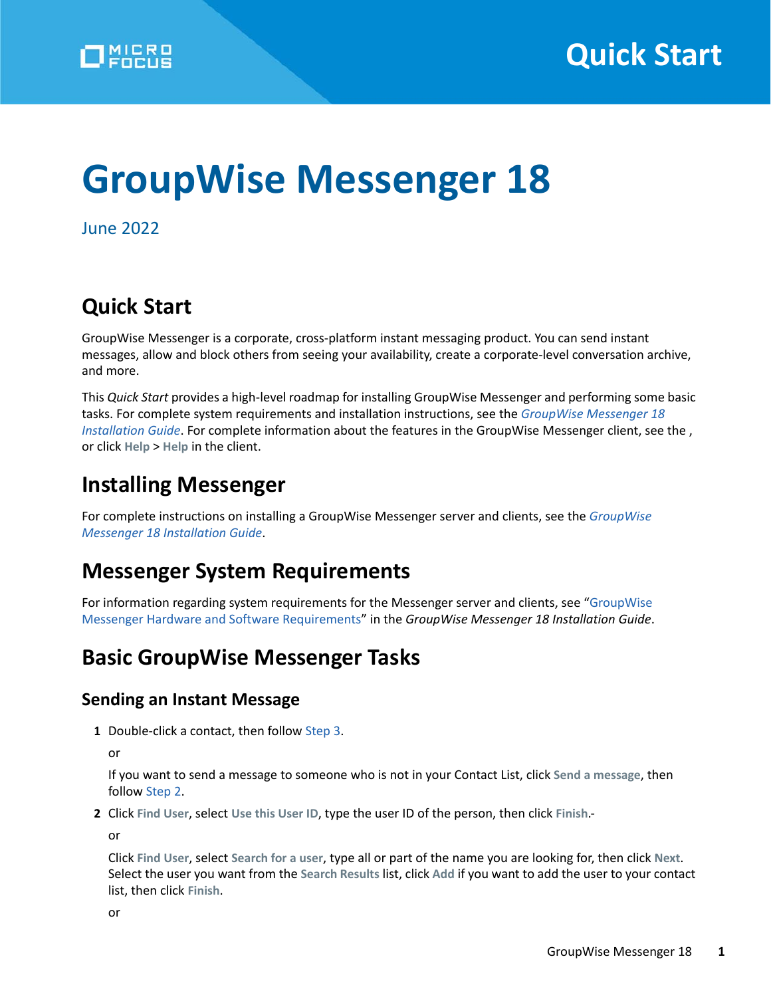# **GroupWise Messenger 18**

June 2022

## **Quick Start**

GroupWise Messenger is a corporate, cross-platform instant messaging product. You can send instant messages, allow and block others from seeing your availability, create a corporate-level conversation archive, and more.

This *Quick Start* provides a high-level roadmap for installing GroupWise Messenger and performing some basic tasks. For complete system requirements and installation instructions, see the *[GroupWise Messenger 18](https://www.novell.com/documentation/messenger18/pdfdoc/messenger18_install/messenger18_install.pdf#A20gkue)  [Installation Guide](https://www.novell.com/documentation/messenger18/pdfdoc/messenger18_install/messenger18_install.pdf#A20gkue)*. For complete information about the features in the GroupWise Messenger client, see the , or click **Help** > **Help** in the client.

## **Installing Messenger**

For complete instructions on installing a GroupWise Messenger server and clients, see the *[GroupWise](https://www.novell.com/documentation/messenger18/pdfdoc/messenger18_install/messenger18_install.pdf#A20gkue)  [Messenger 18 Installation Guide](https://www.novell.com/documentation/messenger18/pdfdoc/messenger18_install/messenger18_install.pdf#A20gkue)*.

## **Messenger System Requirements**

For information regarding system requirements for the Messenger server and clients, see ["GroupWise](https://www.novell.com/documentation/messenger18/pdfdoc/messenger18_install/messenger18_install.pdf#Ahqd02q)  [Messenger Hardware and Software Requirements"](https://www.novell.com/documentation/messenger18/pdfdoc/messenger18_install/messenger18_install.pdf#Ahqd02q) in the *GroupWise Messenger 18 Installation Guide*.

## **Basic GroupWise Messenger Tasks**

#### **Sending an Instant Message**

**1** Double-click a contact, then follow [Step 3.](#page-1-0)

or

If you want to send a message to someone who is not in your Contact List, click **Send a message**, then follow [Step 2.](#page-0-0)

<span id="page-0-0"></span>**2** Click **Find User**, select **Use this User ID**, type the user ID of the person, then click **Finish**.-

or

Click **Find User**, select **Search for a user**, type all or part of the name you are looking for, then click **Next**. Select the user you want from the **Search Results** list, click **Add** if you want to add the user to your contact list, then click **Finish**.

or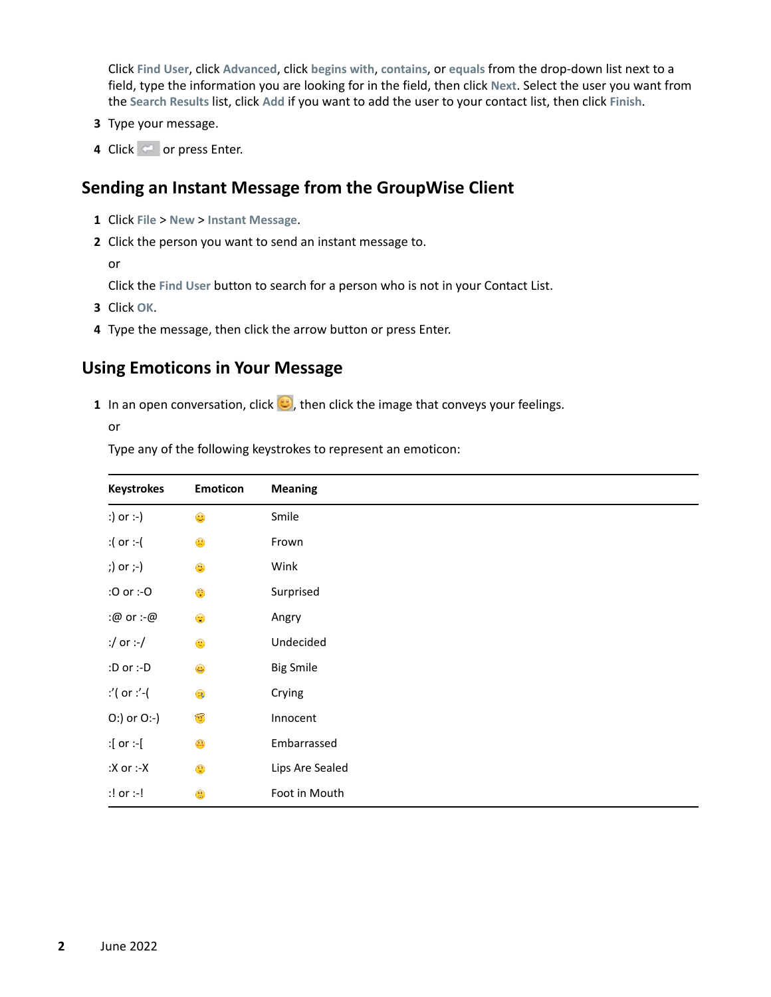Click **Find User**, click **Advanced**, click **begins with**, **contains**, or **equals** from the drop-down list next to a field, type the information you are looking for in the field, then click **Next**. Select the user you want from the **Search Results** list, click **Add** if you want to add the user to your contact list, then click **Finish**.

- <span id="page-1-0"></span>**3** Type your message.
- **4** Click  $\blacksquare$  or press Enter.

#### **Sending an Instant Message from the GroupWise Client**

- **1** Click **File** > **New** > **Instant Message**.
- **2** Click the person you want to send an instant message to.

or

Click the **Find User** button to search for a person who is not in your Contact List.

- **3** Click **OK**.
- **4** Type the message, then click the arrow button or press Enter.

#### **Using Emoticons in Your Message**

**1** In an open conversation, click  $\bigcirc$ , then click the image that conveys your feelings.

or

Type any of the following keystrokes to represent an emoticon:

| <b>Keystrokes</b> | <b>Emoticon</b>                                                                                                  | <b>Meaning</b>   |
|-------------------|------------------------------------------------------------------------------------------------------------------|------------------|
| :) or :-)         | $\bullet$                                                                                                        | Smile            |
| :( or :-(         | $\begin{pmatrix} 0 \\ 0 \\ 0 \end{pmatrix}$                                                                      | Frown            |
| ;) or ;-)         | $\begin{pmatrix} \mathbf{a}_1 \\ \mathbf{b}_2 \end{pmatrix}$                                                     | Wink             |
| :0 or :-0         | $\begin{pmatrix} \widehat{\mathbf{e}} & \widehat{\mathbf{e}} \\ \mathbf{e} & \widehat{\mathbf{e}} \end{pmatrix}$ | Surprised        |
| :@ or :-@         | $\bullet$                                                                                                        | Angry            |
| :/ or :-/         | $\bullet$                                                                                                        | Undecided        |
| :D or :- $D$      | $\bigoplus$                                                                                                      | <b>Big Smile</b> |
| :'( or :'-(       | $\mathbb{R}$                                                                                                     | Crying           |
| O:) or O:-)       | $\bullet$                                                                                                        | Innocent         |
| :[ or :-[         | $\begin{pmatrix} 1 \\ -1 \end{pmatrix}$                                                                          | Embarrassed      |
| : $X$ or :- $X$   | $\mathbf{R}$                                                                                                     | Lips Are Sealed  |
| $:!$ or $:!$      | $\bullet$                                                                                                        | Foot in Mouth    |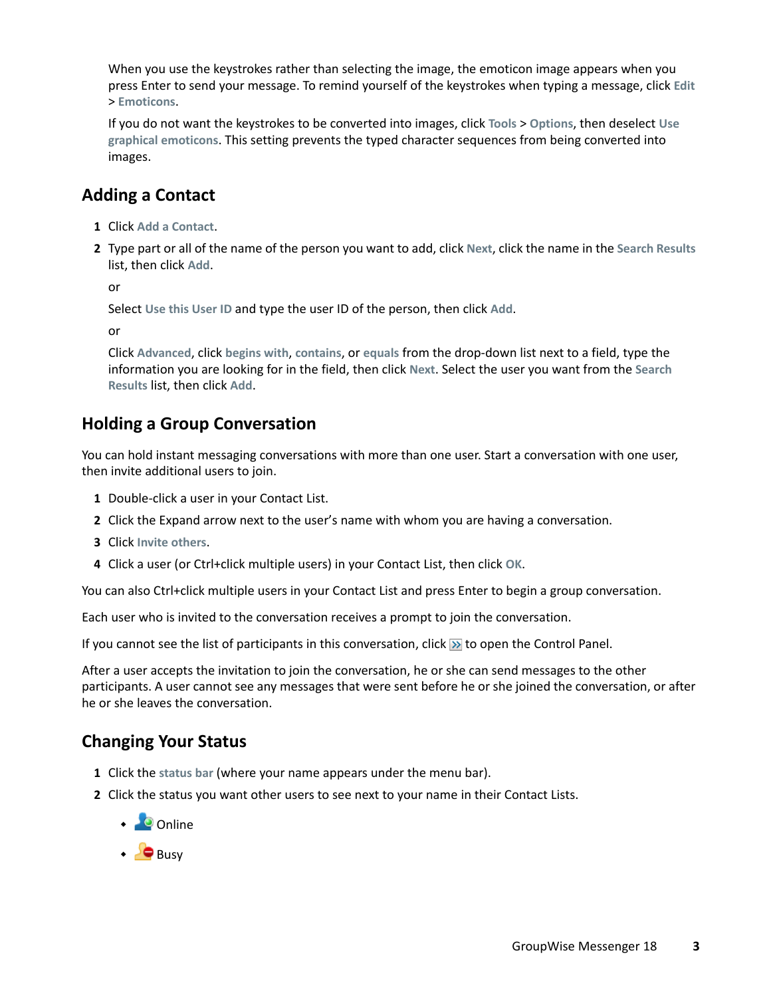When you use the keystrokes rather than selecting the image, the emoticon image appears when you press Enter to send your message. To remind yourself of the keystrokes when typing a message, click **Edit** > **Emoticons**.

If you do not want the keystrokes to be converted into images, click **Tools** > **Options**, then deselect **Use graphical emoticons**. This setting prevents the typed character sequences from being converted into images.

### **Adding a Contact**

- **1** Click **Add a Contact**.
- **2** Type part or all of the name of the person you want to add, click **Next**, click the name in the **Search Results** list, then click **Add**.

or

Select **Use this User ID** and type the user ID of the person, then click **Add**.

or

Click **Advanced**, click **begins with**, **contains**, or **equals** from the drop-down list next to a field, type the information you are looking for in the field, then click **Next**. Select the user you want from the **Search Results** list, then click **Add**.

#### **Holding a Group Conversation**

You can hold instant messaging conversations with more than one user. Start a conversation with one user, then invite additional users to join.

- **1** Double-click a user in your Contact List.
- **2** Click the Expand arrow next to the user's name with whom you are having a conversation.
- **3** Click **Invite others**.
- **4** Click a user (or Ctrl+click multiple users) in your Contact List, then click **OK**.

You can also Ctrl+click multiple users in your Contact List and press Enter to begin a group conversation.

Each user who is invited to the conversation receives a prompt to join the conversation.

If you cannot see the list of participants in this conversation, click  $\gg$  to open the Control Panel.

After a user accepts the invitation to join the conversation, he or she can send messages to the other participants. A user cannot see any messages that were sent before he or she joined the conversation, or after he or she leaves the conversation.

#### **Changing Your Status**

- **1** Click the **status bar** (where your name appears under the menu bar).
- **2** Click the status you want other users to see next to your name in their Contact Lists.
	- $\cdot$  Online
	- $\cdot$  Busy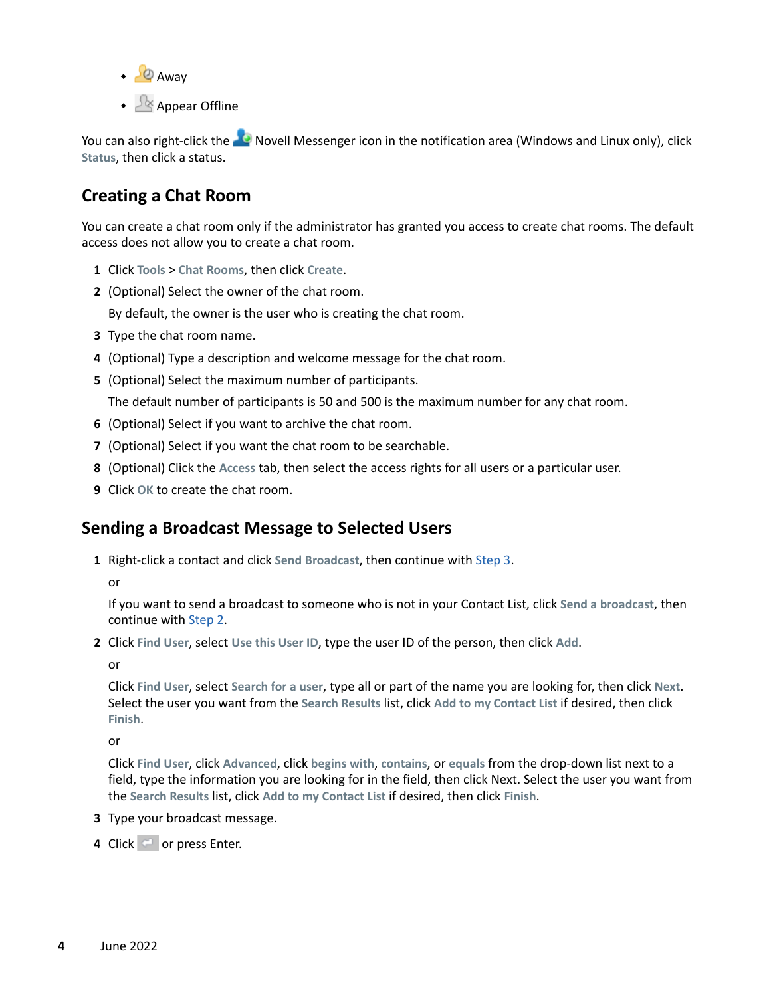- $\cdot$   $\circ$  Awav
- + <u>A</u> Appear Offline

You can also right-click the  $\heartsuit$  Novell Messenger icon in the notification area (Windows and Linux only), click **Status**, then click a status.

#### **Creating a Chat Room**

You can create a chat room only if the administrator has granted you access to create chat rooms. The default access does not allow you to create a chat room.

- **1** Click **Tools** > **Chat Rooms**, then click **Create**.
- **2** (Optional) Select the owner of the chat room.

By default, the owner is the user who is creating the chat room.

- **3** Type the chat room name.
- **4** (Optional) Type a description and welcome message for the chat room.
- **5** (Optional) Select the maximum number of participants.

The default number of participants is 50 and 500 is the maximum number for any chat room.

- **6** (Optional) Select if you want to archive the chat room.
- **7** (Optional) Select if you want the chat room to be searchable.
- **8** (Optional) Click the **Access** tab, then select the access rights for all users or a particular user.
- **9** Click **OK** to create the chat room.

#### **Sending a Broadcast Message to Selected Users**

**1** Right-click a contact and click **Send Broadcast**, then continue with [Step 3.](#page-3-0)

or

If you want to send a broadcast to someone who is not in your Contact List, click **Send a broadcast**, then continue with [Step 2.](#page-3-1)

<span id="page-3-1"></span>**2** Click **Find User**, select **Use this User ID**, type the user ID of the person, then click **Add**.

or

Click **Find User**, select **Search for a user**, type all or part of the name you are looking for, then click **Next**. Select the user you want from the **Search Results** list, click **Add to my Contact List** if desired, then click **Finish**.

or

Click **Find User**, click **Advanced**, click **begins with**, **contains**, or **equals** from the drop-down list next to a field, type the information you are looking for in the field, then click Next. Select the user you want from the **Search Results** list, click **Add to my Contact List** if desired, then click **Finish**.

- <span id="page-3-0"></span>**3** Type your broadcast message.
- **4** Click  $\blacksquare$  or press Enter.